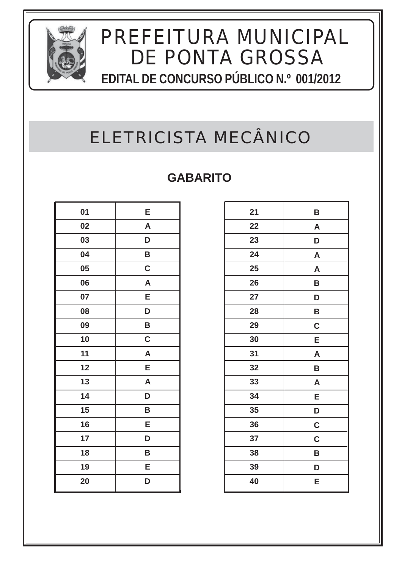

# ELETRICISTA MECÂNICO

| 01 | E                       |
|----|-------------------------|
| 02 | $\overline{\mathsf{A}}$ |
| 03 | D                       |
| 04 | B                       |
| 05 | $\mathbf C$             |
| 06 | $\mathsf{A}$            |
| 07 | Е                       |
| 08 | D                       |
| 09 | B                       |
| 10 | $\mathbf C$             |
| 11 | A                       |
| 12 | E                       |
| 13 | $\mathsf{A}$            |
| 14 | D                       |
| 15 | B                       |
| 16 | E                       |
| 17 | D                       |
| 18 | B                       |
| 19 | E                       |
| 20 | D                       |

| 21 | B           |
|----|-------------|
| 22 | A           |
| 23 | D           |
| 24 | A           |
| 25 | A           |
| 26 | B           |
| 27 | D           |
| 28 | B           |
| 29 | $\mathbf C$ |
| 30 | Ε           |
| 31 | A           |
| 32 | B           |
| 33 | A           |
| 34 | Ε           |
| 35 | D           |
| 36 | $\mathbf C$ |
| 37 | $\mathbf C$ |
| 38 | B           |
| 39 | D           |
| 40 | Ε           |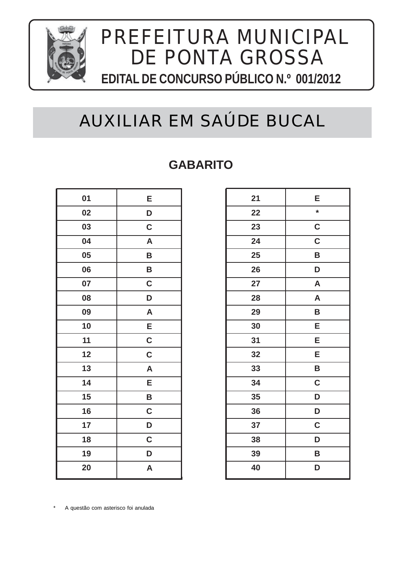

# AUXILIAR EM SAÚDE BUCAL

#### **GABARITO**

| 01 | E            |
|----|--------------|
| 02 | D            |
| 03 | $\mathbf C$  |
| 04 | $\mathsf{A}$ |
| 05 | B            |
| 06 | B            |
| 07 | $\mathbf C$  |
| 08 | D            |
| 09 | $\mathsf{A}$ |
| 10 | E            |
| 11 | $\mathbf C$  |
| 12 | $\mathbf C$  |
| 13 | $\mathsf{A}$ |
| 14 | E            |
| 15 | B            |
| 16 | $\mathbf C$  |
| 17 | D            |
| 18 | $\mathbf C$  |
| 19 | D            |
| 20 | A            |

| 21 | Е                         |
|----|---------------------------|
| 22 | $\star$                   |
| 23 | $\mathbf C$               |
| 24 | $\overline{\mathsf{c}}$   |
| 25 | B                         |
| 26 | D                         |
| 27 | A                         |
| 28 | $\boldsymbol{\mathsf{A}}$ |
| 29 | B                         |
| 30 | E                         |
| 31 | E                         |
| 32 | E                         |
| 33 | B                         |
| 34 | C                         |
| 35 | D                         |
| 36 | D                         |
| 37 | C                         |
| 38 | D                         |
| 39 | B                         |
| 40 | D                         |
|    |                           |

A questão com asterisco foi anulada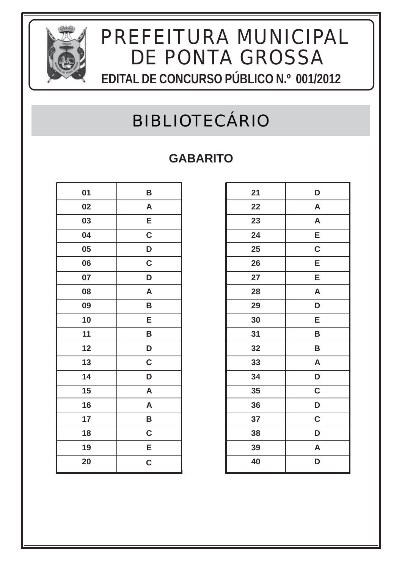

### BIBLIOTECÁRIO

| 01 | B            |
|----|--------------|
| 02 | $\mathsf{A}$ |
| 03 | E            |
| 04 | $\mathbf C$  |
| 05 | D            |
| 06 | $\mathbf C$  |
| 07 | D            |
| 08 | A            |
| 09 | B            |
| 10 | Е            |
| 11 | B            |
| 12 | D            |
| 13 | $\mathbf C$  |
| 14 | D            |
| 15 | $\mathsf{A}$ |
| 16 | A            |
| 17 | B            |
| 18 | $\mathbf C$  |
| 19 | E            |
| 20 | $\mathbf C$  |

| 21 | D                       |
|----|-------------------------|
| 22 | A                       |
| 23 | $\mathsf{A}$            |
| 24 | E                       |
| 25 | $\mathbf C$             |
| 26 | E                       |
| 27 | E                       |
| 28 | A                       |
| 29 | D                       |
| 30 | E                       |
| 31 | B                       |
| 32 | B                       |
| 33 | A                       |
| 34 | D                       |
| 35 | $\overline{\mathbf{c}}$ |
| 36 | D                       |
| 37 | C                       |
| 38 | D                       |
| 39 | A                       |
| 40 | D                       |
|    |                         |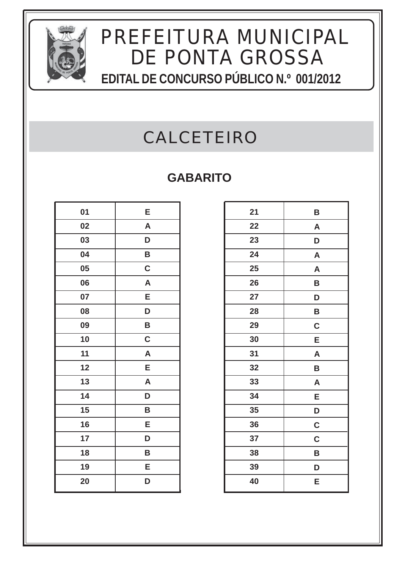

### CALCETEIRO

| 01 | E            |
|----|--------------|
| 02 | $\mathsf{A}$ |
| 03 | D            |
| 04 | B            |
| 05 | $\mathbf C$  |
| 06 | $\mathsf{A}$ |
| 07 | E            |
| 08 | D            |
| 09 | B            |
| 10 | C            |
| 11 | A            |
| 12 | E            |
| 13 | A            |
| 14 | D            |
| 15 | B            |
| 16 | E            |
| 17 | D            |
| 18 | B            |
| 19 | E            |
| 20 | D            |

| 21 | B            |
|----|--------------|
| 22 | A            |
| 23 | D            |
| 24 | $\mathsf{A}$ |
| 25 | A            |
| 26 | B            |
| 27 | D            |
| 28 | B            |
| 29 | $\mathbf C$  |
| 30 | E            |
| 31 | $\mathsf{A}$ |
| 32 | B            |
| 33 | A            |
| 34 | E            |
| 35 | D            |
| 36 | $\mathbf C$  |
| 37 | $\mathbf C$  |
| 38 | B            |
| 39 | D            |
| 40 | Е            |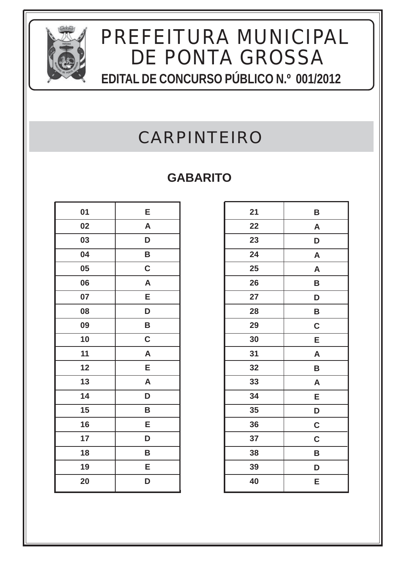

### CARPINTEIRO

| 01 | Е            |
|----|--------------|
| 02 | A            |
| 03 | D            |
| 04 | B            |
| 05 | $\mathbf C$  |
| 06 | $\mathsf{A}$ |
| 07 | E            |
| 08 | D            |
| 09 | B            |
| 10 | $\mathbf C$  |
| 11 | A            |
| 12 | E            |
| 13 | A            |
| 14 | D            |
| 15 | B            |
| 16 | E            |
| 17 | D            |
| 18 | B            |
| 19 | E            |
| 20 | D            |

| 21 | B            |
|----|--------------|
| 22 | A            |
| 23 | D            |
| 24 | $\mathsf{A}$ |
| 25 | A            |
| 26 | B            |
| 27 | D            |
| 28 | B            |
| 29 | $\mathbf C$  |
| 30 | E            |
| 31 | $\mathsf{A}$ |
| 32 | B            |
| 33 | A            |
| 34 | E            |
| 35 | D            |
| 36 | $\mathbf C$  |
| 37 | $\mathbf C$  |
| 38 | B            |
| 39 | D            |
| 40 | Е            |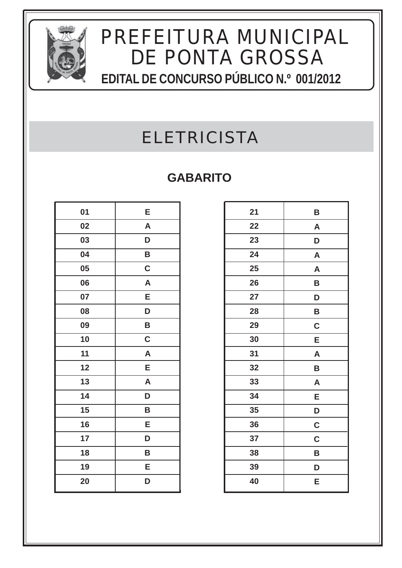

### ELETRICISTA

| 01 | E                       |
|----|-------------------------|
| 02 | $\overline{\mathsf{A}}$ |
| 03 | D                       |
| 04 | B                       |
| 05 | $\mathbf C$             |
| 06 | $\mathsf{A}$            |
| 07 | Е                       |
| 08 | D                       |
| 09 | B                       |
| 10 | $\mathbf C$             |
| 11 | A                       |
| 12 | E                       |
| 13 | $\mathsf{A}$            |
| 14 | D                       |
| 15 | B                       |
| 16 | E                       |
| 17 | D                       |
| 18 | B                       |
| 19 | E                       |
| 20 | D                       |

| 21 | B                         |
|----|---------------------------|
| 22 | $\boldsymbol{\mathsf{A}}$ |
| 23 | D                         |
| 24 | $\mathsf{A}$              |
| 25 | A                         |
| 26 | B                         |
| 27 | D                         |
| 28 | B                         |
| 29 | $\mathbf C$               |
| 30 | E                         |
| 31 | A                         |
| 32 | B                         |
| 33 | A                         |
| 34 | E                         |
| 35 | D                         |
| 36 | $\mathbf C$               |
| 37 | $\mathbf C$               |
| 38 | B                         |
| 39 | D                         |
| 40 | E                         |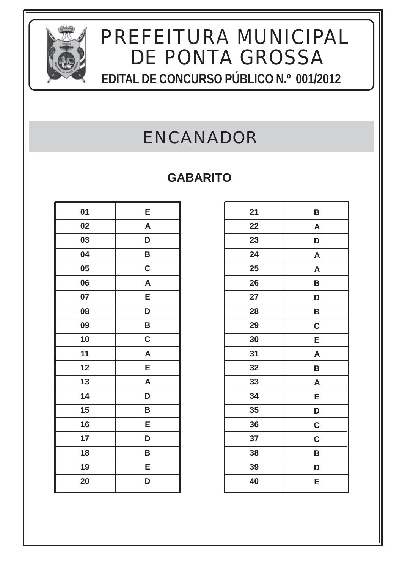

### ENCANADOR

| 01 | Е            |
|----|--------------|
| 02 | A            |
| 03 | D            |
| 04 | B            |
| 05 | $\mathbf C$  |
| 06 | A            |
| 07 | Е            |
| 08 | D            |
| 09 | B            |
| 10 | $\mathbf C$  |
| 11 | A            |
| 12 | E            |
| 13 | $\mathsf{A}$ |
| 14 | D            |
| 15 | B            |
| 16 | E            |
| 17 | D            |
| 18 | B            |
| 19 | E            |
| 20 | D            |

| 21 | B            |
|----|--------------|
| 22 | A            |
| 23 | D            |
| 24 | $\mathsf{A}$ |
| 25 | A            |
| 26 | B            |
| 27 | D            |
| 28 | B            |
| 29 | $\mathbf C$  |
| 30 | E            |
| 31 | $\mathsf{A}$ |
| 32 | B            |
| 33 | A            |
| 34 | E            |
| 35 | D            |
| 36 | $\mathbf C$  |
| 37 | $\mathbf C$  |
| 38 | B            |
| 39 | D            |
| 40 | Е            |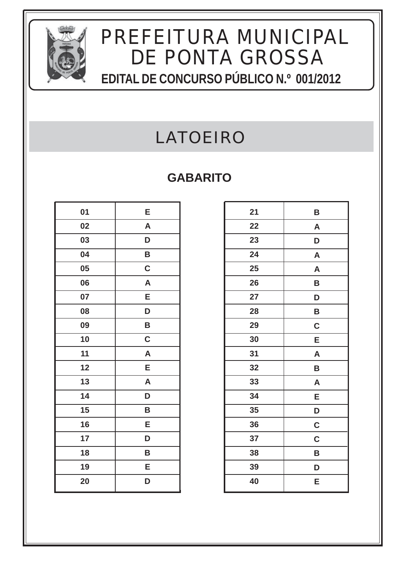

### LATOEIRO

| 01 | E            |
|----|--------------|
| 02 | A            |
| 03 | D            |
| 04 | B            |
| 05 | $\mathbf C$  |
| 06 | $\mathsf{A}$ |
| 07 | Е            |
| 08 | D            |
| 09 | B            |
| 10 | $\mathbf C$  |
| 11 | A            |
| 12 | E            |
| 13 | A            |
| 14 | D            |
| 15 | B            |
| 16 | Е            |
| 17 | D            |
| 18 | B            |
| 19 | Е            |
| 20 | D            |

| 21 | B            |
|----|--------------|
| 22 | A            |
| 23 | D            |
| 24 | $\mathsf{A}$ |
| 25 | $\mathsf{A}$ |
| 26 | B            |
| 27 | D            |
| 28 | B            |
| 29 | $\mathbf C$  |
| 30 | E            |
| 31 | A            |
| 32 | B            |
| 33 | A            |
| 34 | E            |
| 35 | D            |
| 36 | $\mathbf C$  |
| 37 | $\mathbf C$  |
| 38 | B            |
| 39 | D            |
| 40 | Ε            |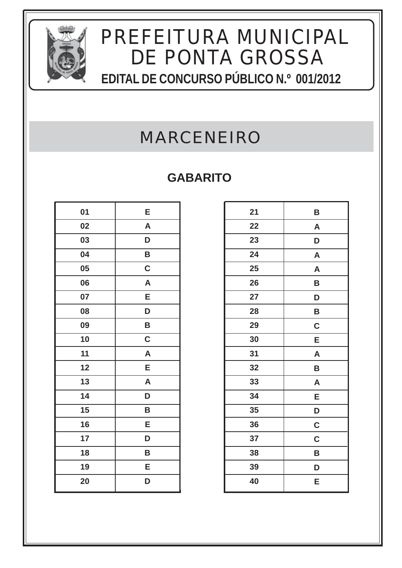

### MARCENEIRO

| 01 | Е            |
|----|--------------|
| 02 | A            |
| 03 | D            |
| 04 | B            |
| 05 | $\mathbf C$  |
| 06 | $\mathsf{A}$ |
| 07 | E            |
| 08 | D            |
| 09 | B            |
| 10 | $\mathbf C$  |
| 11 | A            |
| 12 | E            |
| 13 | A            |
| 14 | D            |
| 15 | B            |
| 16 | E            |
| 17 | D            |
| 18 | B            |
| 19 | E            |
| 20 | D            |

| 21 | B                         |
|----|---------------------------|
| 22 | $\boldsymbol{\mathsf{A}}$ |
| 23 | D                         |
| 24 | A                         |
| 25 | A                         |
| 26 | B                         |
| 27 | D                         |
| 28 | B                         |
| 29 | $\mathbf C$               |
| 30 | E                         |
| 31 | A                         |
| 32 | B                         |
| 33 | A                         |
| 34 | E                         |
| 35 | D                         |
| 36 | $\mathbf C$               |
| 37 | $\mathbf C$               |
| 38 | B                         |
| 39 | D                         |
| 40 | Ε                         |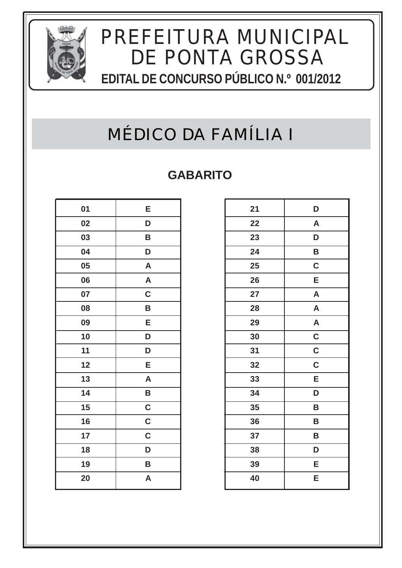

### MÉDICO DA FAMÍLIA I

| 01 | Е                       |
|----|-------------------------|
| 02 | D                       |
| 03 | B                       |
| 04 | D                       |
| 05 | A                       |
| 06 | $\overline{\mathsf{A}}$ |
| 07 | $\mathbf C$             |
| 08 | B                       |
| 09 | E                       |
| 10 | D                       |
| 11 | D                       |
| 12 | Е                       |
| 13 | $\overline{\mathsf{A}}$ |
| 14 | B                       |
| 15 | $\mathbf C$             |
| 16 | $\mathbf C$             |
| 17 | $\mathbf C$             |
| 18 | D                       |
| 19 | B                       |
| 20 | A                       |

| 21 | D              |
|----|----------------|
| 22 | A              |
| 23 | D              |
| 24 | B              |
| 25 | $\mathbf C$    |
| 26 | E              |
| 27 | A              |
| 28 | A              |
| 29 | A              |
| 30 | $\mathbf C$    |
| 31 | $\overline{c}$ |
| 32 | $\mathbf C$    |
| 33 | E              |
| 34 | D              |
| 35 | B              |
| 36 | В              |
| 37 | B              |
| 38 | D              |
| 39 | E              |
| 40 | E              |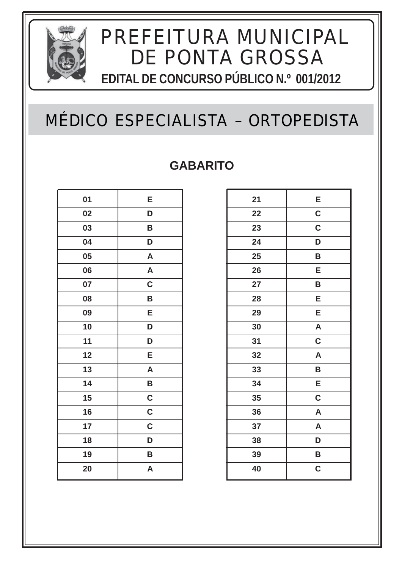

### MÉDICO ESPECIALISTA – ORTOPEDISTA

| 01 | E                       |
|----|-------------------------|
| 02 | D                       |
| 03 | B                       |
| 04 | D                       |
| 05 | A                       |
| 06 | A                       |
| 07 | $\mathbf C$             |
| 08 | B                       |
| 09 | E                       |
| 10 | D                       |
| 11 | D                       |
| 12 | Е                       |
| 13 | $\overline{\mathsf{A}}$ |
| 14 | B                       |
| 15 | $\mathbf C$             |
| 16 | $\mathbf C$             |
| 17 | $\mathbf C$             |
| 18 | D                       |
| 19 | B                       |
| 20 | A                       |

| 21 | E                       |
|----|-------------------------|
| 22 | $\overline{\mathsf{c}}$ |
| 23 | $\mathbf C$             |
| 24 | D                       |
| 25 | B                       |
| 26 | E                       |
| 27 | B                       |
| 28 | E                       |
| 29 | E                       |
| 30 | $\mathsf{A}$            |
| 31 | C                       |
| 32 | A                       |
| 33 | B                       |
| 34 | $\overline{\mathsf{E}}$ |
| 35 | $\mathbf C$             |
| 36 | A                       |
| 37 | $\overline{\mathsf{A}}$ |
| 38 | D                       |
| 39 | B                       |
| 40 | C                       |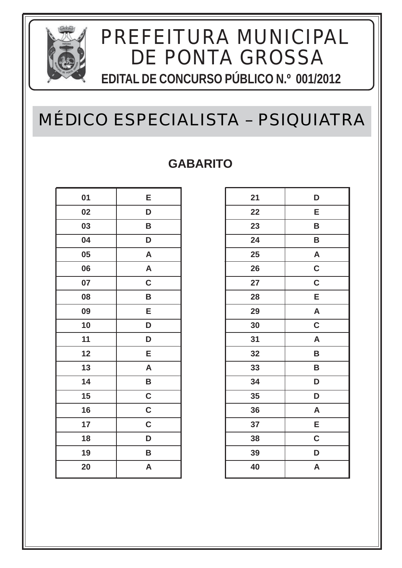

### MÉDICO ESPECIALISTA – PSIQUIATRA

| 01 | E                       |
|----|-------------------------|
| 02 | D                       |
| 03 | B                       |
| 04 | D                       |
| 05 | A                       |
| 06 | $\overline{\mathsf{A}}$ |
| 07 | $\mathbf C$             |
| 08 | B                       |
| 09 | E                       |
| 10 | D                       |
| 11 | D                       |
| 12 | E                       |
| 13 | A                       |
| 14 | B                       |
| 15 | $\mathbf C$             |
| 16 | $\mathbf C$             |
| 17 | $\mathbf C$             |
| 18 | D                       |
| 19 | B                       |
| 20 | A                       |

| 21 | D                       |
|----|-------------------------|
| 22 | E                       |
| 23 | B                       |
| 24 | B                       |
| 25 | $\overline{\mathsf{A}}$ |
| 26 | $\mathbf C$             |
| 27 | $\overline{\mathbf{C}}$ |
| 28 | E                       |
| 29 | $\mathsf{A}$            |
| 30 | $\mathbf C$             |
| 31 | $\mathsf{A}$            |
| 32 | B                       |
| 33 | B                       |
| 34 | D                       |
| 35 | D                       |
| 36 | A                       |
| 37 | E                       |
| 38 | C                       |
| 39 | D                       |
| 40 | A                       |
|    |                         |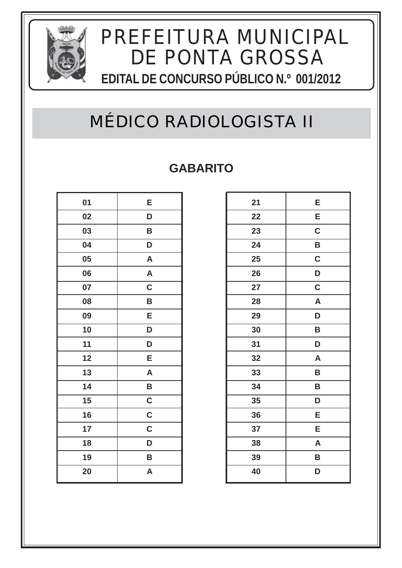

### MÉDICO RADIOLOGISTA II

| 01 | E           |
|----|-------------|
| 02 | D           |
| 03 | B           |
| 04 | D           |
| 05 | A           |
| 06 | A           |
| 07 | $\mathbf C$ |
| 08 | B           |
| 09 | E           |
| 10 | D           |
| 11 | D           |
| 12 | E           |
| 13 | A           |
| 14 | B           |
| 15 | $\mathbf C$ |
| 16 | $\mathbf C$ |
| 17 | $\mathbf C$ |
| 18 | D           |
| 19 | B           |
| 20 | A           |

| 21 | E                       |
|----|-------------------------|
| 22 | E                       |
| 23 | $\mathbf C$             |
| 24 | B                       |
| 25 | $\mathbf C$             |
| 26 | D                       |
| 27 | C                       |
| 28 | $\overline{\mathsf{A}}$ |
| 29 | D                       |
| 30 | B                       |
| 31 | D                       |
| 32 | A                       |
| 33 | B                       |
| 34 | B                       |
| 35 | D                       |
| 36 | E                       |
| 37 | E                       |
| 38 | A                       |
| 39 | B                       |
| 40 | D                       |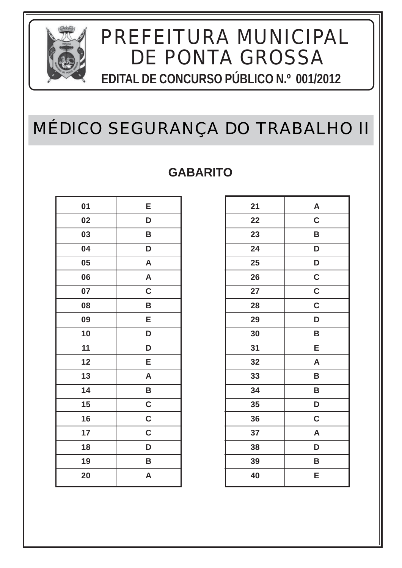

### MÉDICO SEGURANÇA DO TRABALHO II

| 01 | E                       |
|----|-------------------------|
| 02 | D                       |
| 03 | B                       |
| 04 | D                       |
| 05 | A                       |
| 06 | $\overline{\mathsf{A}}$ |
| 07 | $\mathbf C$             |
| 08 | B                       |
| 09 | E                       |
| 10 | D                       |
| 11 | D                       |
| 12 | E                       |
| 13 | $\mathsf{A}$            |
| 14 | B                       |
| 15 | $\mathbf C$             |
| 16 | $\mathbf C$             |
| 17 | $\mathbf C$             |
| 18 | D                       |
| 19 | B                       |
| 20 | A                       |

| 21 | A           |
|----|-------------|
| 22 | $\mathbf C$ |
| 23 | B           |
| 24 | D           |
| 25 | D           |
| 26 | $\mathbf C$ |
| 27 | $\mathbf C$ |
| 28 | $\mathbf C$ |
| 29 | D           |
| 30 | B           |
| 31 | E           |
| 32 | A           |
| 33 | B           |
| 34 | B           |
| 35 | D           |
| 36 | $\mathbf C$ |
| 37 | A           |
| 38 | D           |
| 39 | B           |
| 40 | E           |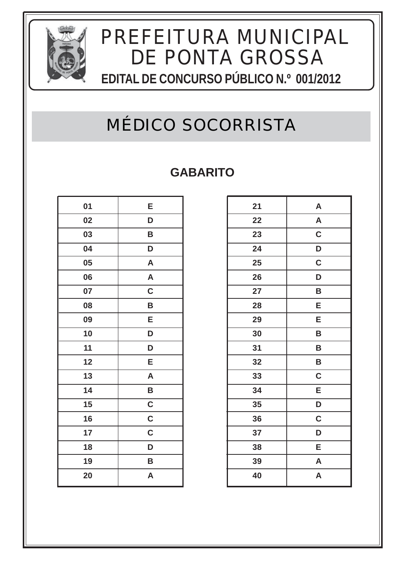

### MÉDICO SOCORRISTA

| 01 | E           |
|----|-------------|
| 02 | D           |
| 03 | B           |
| 04 | D           |
| 05 | A           |
| 06 | A           |
| 07 | $\mathbf C$ |
| 08 | B           |
| 09 | E           |
| 10 | D           |
| 11 | D           |
| 12 | Е           |
| 13 | A           |
| 14 | B           |
| 15 | $\mathbf C$ |
| 16 | $\mathbf C$ |
| 17 | $\mathbf C$ |
| 18 | D           |
| 19 | B           |
| 20 | A           |

| 21 | A                       |
|----|-------------------------|
| 22 | A                       |
| 23 | C                       |
| 24 | D                       |
| 25 | $\mathbf C$             |
| 26 | D                       |
| 27 | B                       |
| 28 | E                       |
| 29 | E                       |
| 30 | B                       |
| 31 | B                       |
| 32 | B                       |
| 33 | $\mathbf C$             |
| 34 | $\overline{\mathsf{E}}$ |
| 35 | D                       |
| 36 | $\mathbf C$             |
| 37 | D                       |
| 38 | E                       |
| 39 | $\mathsf{A}$            |
| 40 | A                       |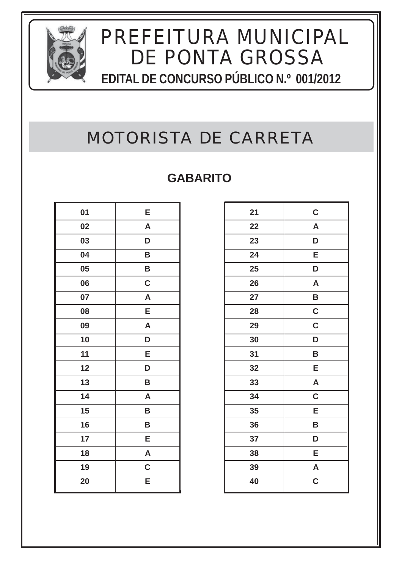

### MOTORISTA DE CARRETA

| 01 | E                       |
|----|-------------------------|
| 02 | $\overline{\mathsf{A}}$ |
| 03 | D                       |
| 04 | B                       |
| 05 | B                       |
| 06 | $\mathbf C$             |
| 07 | $\mathsf{A}$            |
| 08 | E                       |
| 09 | A                       |
| 10 | D                       |
| 11 | Е                       |
| 12 | D                       |
| 13 | B                       |
| 14 | $\mathsf{A}$            |
| 15 | B                       |
| 16 | B                       |
| 17 | E                       |
| 18 | A                       |
| 19 | $\mathbf C$             |
| 20 | E                       |

| 21 | $\mathbf C$               |
|----|---------------------------|
| 22 | $\boldsymbol{\mathsf{A}}$ |
| 23 | D                         |
| 24 | E                         |
| 25 | D                         |
| 26 | A                         |
| 27 | B                         |
| 28 | $\mathbf C$               |
| 29 | $\mathbf C$               |
| 30 | D                         |
| 31 | B                         |
| 32 | E                         |
| 33 | $\overline{\mathsf{A}}$   |
| 34 | $\mathbf C$               |
| 35 | E                         |
| 36 | B                         |
| 37 | D                         |
| 38 | E                         |
| 39 | $\mathsf{A}$              |
| 40 | C                         |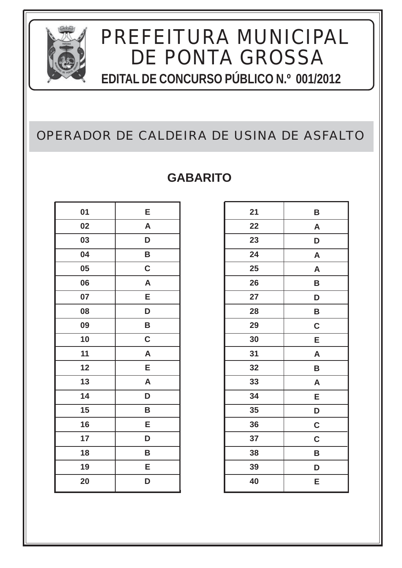

### OPERADOR DE CALDEIRA DE USINA DE ASFALTO

| 01 | E            |
|----|--------------|
| 02 | $\mathsf{A}$ |
| 03 | D            |
| 04 | B            |
| 05 | $\mathbf C$  |
| 06 | $\mathsf{A}$ |
| 07 | Е            |
| 08 | D            |
| 09 | B            |
| 10 | $\mathbf C$  |
| 11 | A            |
| 12 | E            |
| 13 | A            |
| 14 | D            |
| 15 | B            |
| 16 | E            |
| 17 | D            |
| 18 | B            |
| 19 | E            |
| 20 | D            |

| 21 | B           |
|----|-------------|
| 22 | A           |
| 23 | D           |
| 24 | A           |
| 25 | A           |
| 26 | B           |
| 27 | D           |
| 28 | B           |
| 29 | $\mathbf C$ |
| 30 | E           |
| 31 | A           |
| 32 | B           |
| 33 | A           |
| 34 | E           |
| 35 | D           |
| 36 | $\mathbf C$ |
| 37 | $\mathbf C$ |
| 38 | B           |
| 39 | D           |
| 40 | E           |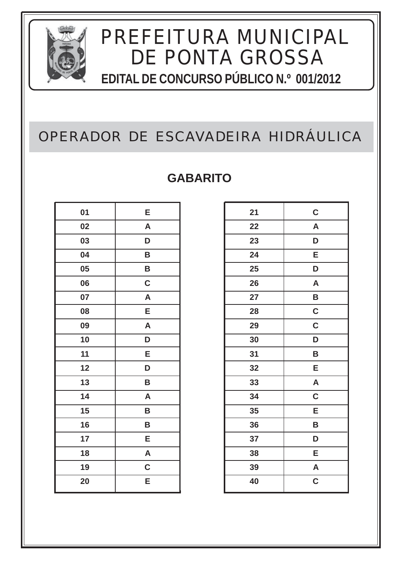

### OPERADOR DE ESCAVADEIRA HIDRÁULICA

| 01 | E            |
|----|--------------|
| 02 | $\mathsf{A}$ |
| 03 | D            |
| 04 | B            |
| 05 | B            |
| 06 | $\mathbf C$  |
| 07 | $\mathsf{A}$ |
| 08 | Е            |
| 09 | $\mathsf{A}$ |
| 10 | D            |
| 11 | Е            |
| 12 | D            |
| 13 | B            |
| 14 | $\mathsf{A}$ |
| 15 | B            |
| 16 | B            |
| 17 | E            |
| 18 | A            |
| 19 | $\mathbf C$  |
| 20 | Е            |

| $\mathbf C$               |
|---------------------------|
| $\boldsymbol{\mathsf{A}}$ |
| D                         |
| E                         |
| D                         |
| A                         |
| B                         |
| C                         |
| C                         |
| D                         |
| B                         |
| Е                         |
| $\overline{\mathsf{A}}$   |
| C                         |
| E                         |
| B                         |
| D                         |
| E                         |
| $\overline{\mathsf{A}}$   |
| C                         |
|                           |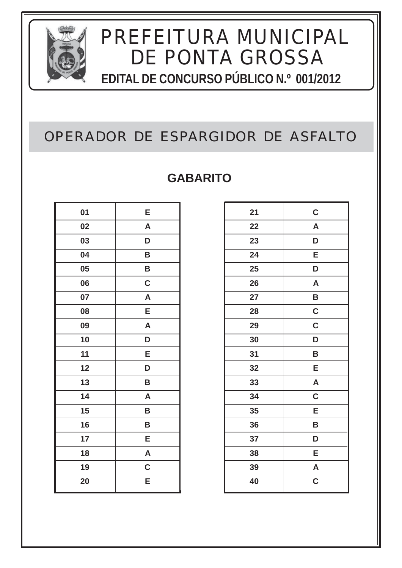

### OPERADOR DE ESPARGIDOR DE ASFALTO

| 01 | E            |
|----|--------------|
| 02 | $\mathsf{A}$ |
| 03 | D            |
| 04 | B            |
| 05 | B            |
| 06 | $\mathbf C$  |
| 07 | $\mathsf{A}$ |
| 08 | E            |
| 09 | A            |
| 10 | D            |
| 11 | Е            |
| 12 | D            |
| 13 | B            |
| 14 | $\mathsf{A}$ |
| 15 | B            |
| 16 | B            |
| 17 | E            |
| 18 | A            |
| 19 | $\mathbf C$  |
| 20 | Е            |

| 21 | $\mathbf C$  |
|----|--------------|
| 22 | A            |
| 23 | D            |
| 24 | E            |
| 25 | D            |
| 26 | A            |
| 27 | B            |
| 28 | C            |
| 29 | C            |
| 30 | D            |
| 31 | B            |
| 32 | E            |
| 33 | $\mathsf{A}$ |
| 34 | C            |
| 35 | E            |
| 36 | B            |
| 37 | D            |
| 38 | E            |
| 39 | A            |
| 40 | C            |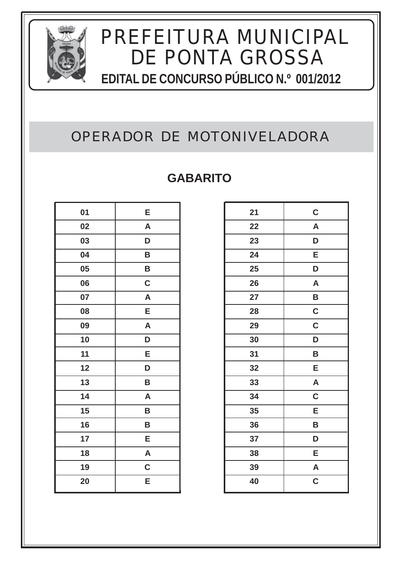

### OPERADOR DE MOTONIVELADORA

| 01 | E            |
|----|--------------|
| 02 | $\mathsf{A}$ |
| 03 | D            |
| 04 | B            |
| 05 | B            |
| 06 | $\mathbf C$  |
| 07 | A            |
| 08 | E            |
| 09 | A            |
| 10 | D            |
| 11 | Е            |
| 12 | D            |
| 13 | B            |
| 14 | $\mathsf{A}$ |
| 15 | B            |
| 16 | B            |
| 17 | E            |
| 18 | A            |
| 19 | $\mathbf C$  |
| 20 | E            |

| 21 | $\mathbf C$             |
|----|-------------------------|
| 22 | A                       |
| 23 | D                       |
| 24 | E                       |
| 25 | D                       |
| 26 | A                       |
| 27 | B                       |
| 28 | C                       |
| 29 | C                       |
| 30 | D                       |
| 31 | B                       |
| 32 | E                       |
| 33 | $\overline{\mathsf{A}}$ |
| 34 | $\mathbf C$             |
| 35 | E                       |
| 36 | B                       |
| 37 | D                       |
| 38 | E                       |
| 39 | A                       |
| 40 | C                       |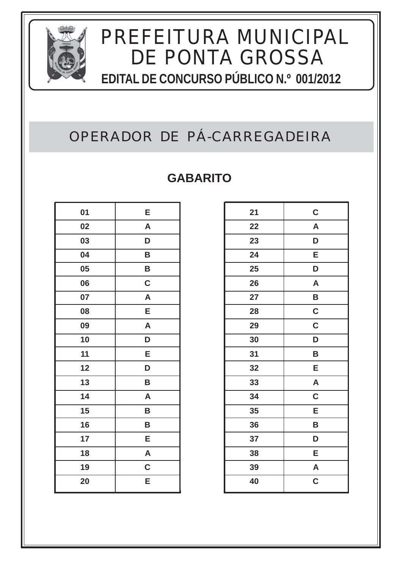

### OPERADOR DE PÁ-CARREGADEIRA

| 01 | E            |
|----|--------------|
| 02 | A            |
| 03 | D            |
| 04 | B            |
| 05 | B            |
| 06 | $\mathbf C$  |
| 07 | A            |
| 08 | E            |
| 09 | A            |
| 10 | D            |
| 11 | E            |
| 12 | D            |
| 13 | B            |
| 14 | $\mathsf{A}$ |
| 15 | B            |
| 16 | B            |
| 17 | Е            |
| 18 | A            |
| 19 | $\mathbf C$  |
| 20 | E            |

| 21 | $\mathbf C$             |
|----|-------------------------|
| 22 | A                       |
| 23 | D                       |
| 24 | E                       |
| 25 | D                       |
| 26 | A                       |
| 27 | B                       |
| 28 | C                       |
| 29 | C                       |
| 30 | D                       |
| 31 | B                       |
| 32 | E                       |
| 33 | $\overline{\mathsf{A}}$ |
| 34 | $\overline{\mathsf{C}}$ |
| 35 | E                       |
| 36 | B                       |
| 37 | D                       |
| 38 | E                       |
| 39 | A                       |
| 40 | C                       |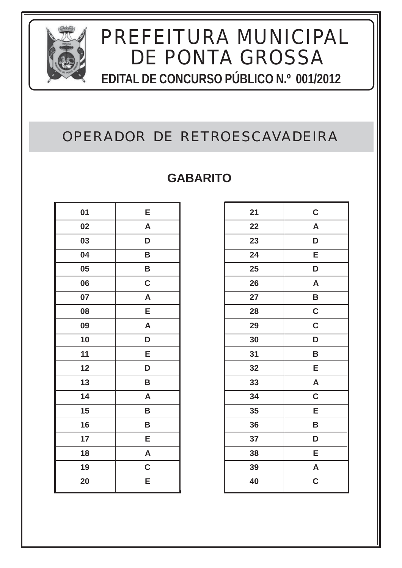

### OPERADOR DE RETROESCAVADEIRA

| 01 | E            |
|----|--------------|
| 02 | A            |
| 03 | D            |
| 04 | B            |
| 05 | B            |
| 06 | $\mathbf C$  |
| 07 | $\mathsf{A}$ |
| 08 | E            |
| 09 | A            |
| 10 | D            |
| 11 | Е            |
| 12 | D            |
| 13 | B            |
| 14 | $\mathsf{A}$ |
| 15 | B            |
| 16 | B            |
| 17 | Е            |
| 18 | A            |
| 19 | $\mathbf C$  |
| 20 | Е            |

| 21 | $\mathbf C$               |
|----|---------------------------|
| 22 | $\boldsymbol{\mathsf{A}}$ |
| 23 | D                         |
| 24 | E                         |
| 25 | D                         |
| 26 | A                         |
| 27 | B                         |
| 28 | $\mathsf{C}$              |
| 29 | C                         |
| 30 | D                         |
| 31 | B                         |
| 32 | E                         |
| 33 | $\overline{\mathsf{A}}$   |
| 34 | C                         |
| 35 | E                         |
| 36 | B                         |
| 37 | D                         |
| 38 | E                         |
| 39 | $\overline{\mathsf{A}}$   |
| 40 | C                         |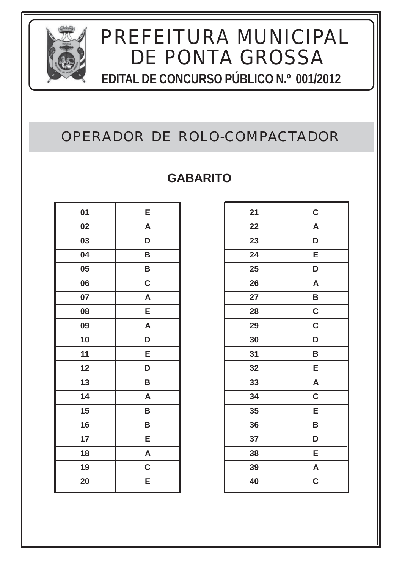

### OPERADOR DE ROLO-COMPACTADOR

| 01 | E            |
|----|--------------|
| 02 | $\mathsf{A}$ |
| 03 | D            |
| 04 | B            |
| 05 | B            |
| 06 | $\mathbf C$  |
| 07 | A            |
| 08 | E            |
| 09 | A            |
| 10 | D            |
| 11 | Е            |
| 12 | D            |
| 13 | B            |
| 14 | $\mathsf{A}$ |
| 15 | B            |
| 16 | B            |
| 17 | E            |
| 18 | A            |
| 19 | $\mathbf C$  |
| 20 | E            |

| 21 | $\mathbf C$             |
|----|-------------------------|
| 22 | A                       |
| 23 | D                       |
| 24 | E                       |
| 25 | D                       |
| 26 | A                       |
| 27 | B                       |
| 28 | C                       |
| 29 | C                       |
| 30 | D                       |
| 31 | B                       |
| 32 | E                       |
| 33 | $\overline{\mathsf{A}}$ |
| 34 | $\overline{\mathsf{C}}$ |
| 35 | E                       |
| 36 | B                       |
| 37 | D                       |
| 38 | E                       |
| 39 | A                       |
| 40 | C                       |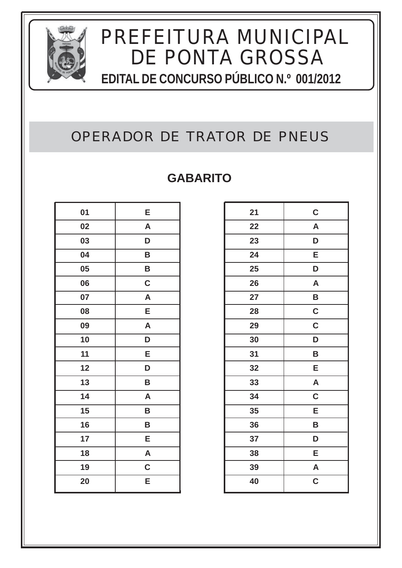

### OPERADOR DE TRATOR DE PNEUS

| 01 | E            |
|----|--------------|
| 02 | A            |
| 03 | D            |
| 04 | B            |
| 05 | B            |
| 06 | $\mathbf C$  |
| 07 | $\mathsf{A}$ |
| 08 | Е            |
| 09 | A            |
| 10 | D            |
| 11 | Е            |
| 12 | D            |
| 13 | B            |
| 14 | $\mathsf{A}$ |
| 15 | B            |
| 16 | B            |
| 17 | E            |
| 18 | A            |
| 19 | $\mathbf C$  |
| 20 | E            |

| 21 | $\mathbf C$             |
|----|-------------------------|
| 22 | A                       |
| 23 | D                       |
| 24 | E                       |
| 25 | D                       |
| 26 | A                       |
| 27 | B                       |
| 28 | $\mathbf C$             |
| 29 | $\mathbf C$             |
| 30 | D                       |
| 31 | B                       |
| 32 | E                       |
| 33 | A                       |
| 34 | $\overline{\mathsf{C}}$ |
| 35 | E                       |
| 36 | B                       |
| 37 | D                       |
| 38 | E                       |
| 39 | $\mathsf{A}$            |
| 40 | C                       |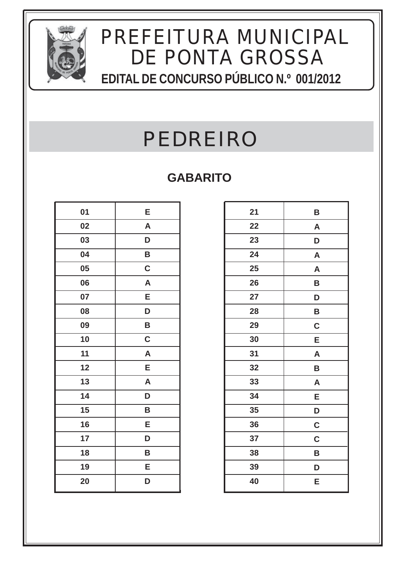

# PEDREIRO

| 01 | E            |
|----|--------------|
| 02 | $\mathsf{A}$ |
| 03 | D            |
| 04 | B            |
| 05 | $\mathbf C$  |
| 06 | $\mathsf{A}$ |
| 07 | E            |
| 08 | D            |
| 09 | B            |
| 10 | C            |
| 11 | A            |
| 12 | E            |
| 13 | A            |
| 14 | D            |
| 15 | B            |
| 16 | E            |
| 17 | D            |
| 18 | B            |
| 19 | E            |
| 20 | D            |

| 21 | B            |
|----|--------------|
| 22 | A            |
| 23 | D            |
| 24 | $\mathsf{A}$ |
| 25 | A            |
| 26 | B            |
| 27 | D            |
| 28 | B            |
| 29 | $\mathbf C$  |
| 30 | E            |
| 31 | $\mathsf{A}$ |
| 32 | B            |
| 33 | A            |
| 34 | E            |
| 35 | D            |
| 36 | $\mathbf C$  |
| 37 | $\mathbf C$  |
| 38 | B            |
| 39 | D            |
| 40 | Е            |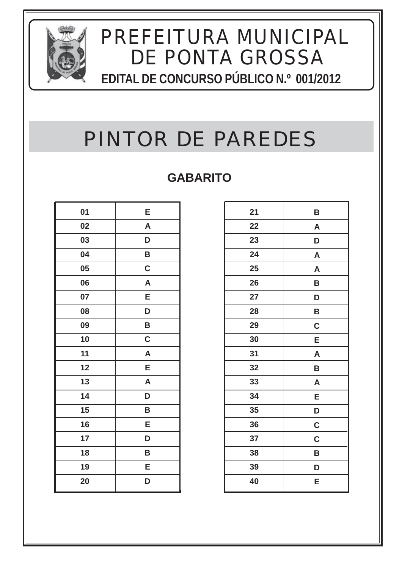

# PINTOR DE PAREDES

| 01 | E            |
|----|--------------|
| 02 | $\mathsf{A}$ |
| 03 | D            |
| 04 | B            |
| 05 | $\mathbf C$  |
| 06 | $\mathsf{A}$ |
| 07 | E            |
| 08 | D            |
| 09 | B            |
| 10 | $\mathbf C$  |
| 11 | A            |
| 12 | E            |
| 13 | A            |
| 14 | D            |
| 15 | B            |
| 16 | E            |
| 17 | D            |
| 18 | B            |
| 19 | E            |
| 20 | D            |

| 21 | B                         |
|----|---------------------------|
| 22 | $\boldsymbol{\mathsf{A}}$ |
| 23 | D                         |
| 24 | $\mathsf{A}$              |
| 25 | A                         |
| 26 | B                         |
| 27 | D                         |
| 28 | B                         |
| 29 | $\mathbf C$               |
| 30 | E                         |
| 31 | A                         |
| 32 | B                         |
| 33 | A                         |
| 34 | Ε                         |
| 35 | D                         |
| 36 | $\mathbf C$               |
| 37 | $\mathbf C$               |
| 38 | B                         |
| 39 | D                         |
| 40 | Е                         |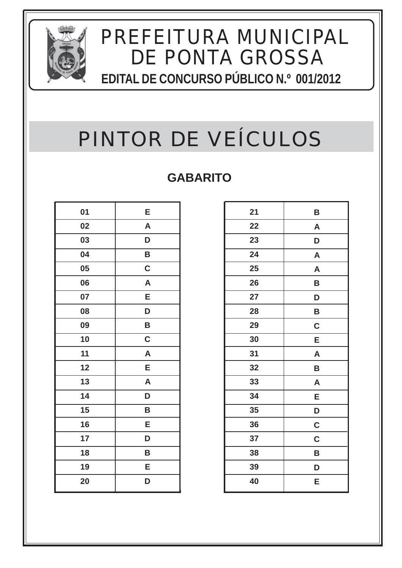

# PINTOR DE VEÍCULOS

| 01 | E                       |
|----|-------------------------|
| 02 | $\overline{\mathsf{A}}$ |
| 03 | D                       |
| 04 | B                       |
| 05 | $\mathbf C$             |
| 06 | A                       |
| 07 | Е                       |
| 08 | D                       |
| 09 | B                       |
| 10 | $\mathbf C$             |
| 11 | A                       |
| 12 | E                       |
| 13 | $\mathsf{A}$            |
| 14 | D                       |
| 15 | B                       |
| 16 | E                       |
| 17 | D                       |
| 18 | B                       |
| 19 | E                       |
| 20 | D                       |

| 21 | B           |
|----|-------------|
| 22 | A           |
| 23 | D           |
| 24 | A           |
| 25 | A           |
| 26 | B           |
| 27 | D           |
| 28 | B           |
| 29 | $\mathbf C$ |
| 30 | Е           |
| 31 | A           |
| 32 | B           |
| 33 | A           |
| 34 | E           |
| 35 | D           |
| 36 | $\mathbf C$ |
| 37 | $\mathbf C$ |
| 38 | B           |
| 39 | D           |
| 40 | Ε           |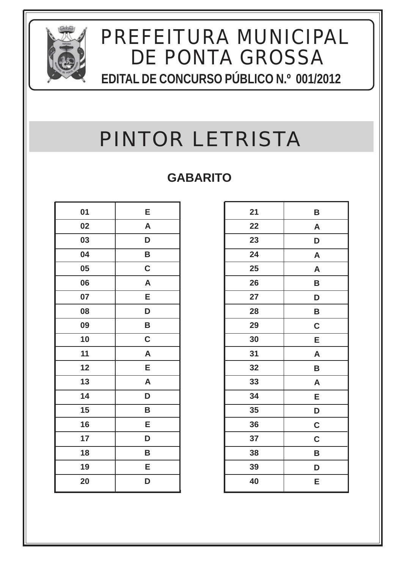

# PINTOR LETRISTA

| 01 | E            |
|----|--------------|
| 02 | $\mathsf{A}$ |
| 03 | D            |
| 04 | B            |
| 05 | $\mathbf C$  |
| 06 | $\mathsf{A}$ |
| 07 | E            |
| 08 | D            |
| 09 | B            |
| 10 | $\mathbf C$  |
| 11 | A            |
| 12 | E            |
| 13 | A            |
| 14 | D            |
| 15 | B            |
| 16 | E            |
| 17 | D            |
| 18 | B            |
| 19 | E            |
| 20 | D            |

| 21 | Β                         |
|----|---------------------------|
| 22 | $\boldsymbol{\mathsf{A}}$ |
| 23 | D                         |
| 24 | $\mathsf{A}$              |
| 25 | A                         |
| 26 | B                         |
| 27 | D                         |
| 28 | B                         |
| 29 | $\mathbf C$               |
| 30 | Ε                         |
| 31 | $\mathsf{A}$              |
| 32 | B                         |
| 33 | A                         |
| 34 | E                         |
| 35 | D                         |
| 36 | $\mathbf C$               |
| 37 | $\mathbf C$               |
| 38 | B                         |
| 39 | D                         |
| 40 | Е                         |